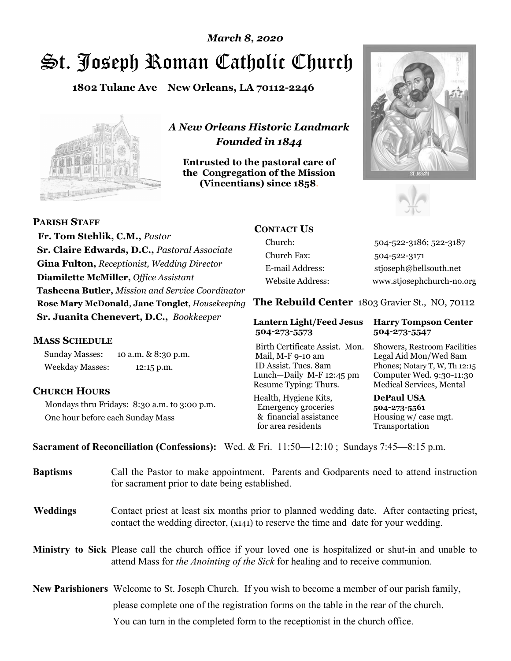# St. Joseph Roman Catholic Church *March 8, 2020*

**1802 Tulane Ave New Orleans, LA 70112-2246**



*A New Orleans Historic Landmark Founded in 1844* 

**Entrusted to the pastoral care of the Congregation of the Mission (Vincentians) since 1858**.





 **Fr. Tom Stehlik, C.M.,** *Pastor* **Sr. Claire Edwards, D.C.,** *Pastoral Associate* **Gina Fulton,** *Receptionist, Wedding Director* **Diamilette McMiller,** *Office Assistant* **Tasheena Butler,** *Mission and Service Coordinator* **Rose Mary McDonald**, **Jane Tonglet**, *Housekeeping* **Sr. Juanita Chenevert, D.C.,** *Bookkeeper* 

#### **MASS SCHEDULE**

**PARISH STAFF**

Sunday Masses: 10 a.m. & 8:30 p.m. Weekday Masses: 12:15 p.m.

### **CHURCH HOURS**

Mondays thru Fridays: 8:30 a.m. to 3:00 p.m. One hour before each Sunday Mass

### **CONTACT US**

Church: 504-522-3186; 522-3187 Church Fax: 504-522-3171 E-mail Address: stjoseph@bellsouth.net Website Address: www.stjosephchurch-no.org

**The Rebuild Center** 1803 Gravier St., NO, 70112

#### **Lantern Light/Feed Jesus Harry Tompson Center 504-273-5573 504-273-5547**

Birth Certificate Assist. Mon. Showers, Restroom Facilities Mail, M-F 9-10 am Legal Aid Mon/Wed 8am ID Assist. Tues. 8am Phones; Notary T, W, Th 12:15 Lunch—Daily M-F 12:45 pm Computer Wed. 9:30-11:30 Resume Typing: Thurs. Medical Services, Mental

Health, Hygiene Kits, **DePaul USA**  Emergency groceries **504-273-5561** & financial assistance Housing w/ case mgt. for area residents Transportation

**Sacrament of Reconciliation (Confessions):** Wed. & Fri. 11:50—12:10 ; Sundays 7:45—8:15 p.m.

| <b>Baptisms</b> | Call the Pastor to make appointment. Parents and Godparents need to attend instruction<br>for sacrament prior to date being established.                                                            |  |
|-----------------|-----------------------------------------------------------------------------------------------------------------------------------------------------------------------------------------------------|--|
| <b>Weddings</b> | Contact priest at least six months prior to planned wedding date. After contacting priest,<br>contact the wedding director, (x141) to reserve the time and date for your wedding.                   |  |
|                 | <b>Ministry to Sick</b> Please call the church office if your loved one is hospitalized or shut-in and unable to<br>attend Mass for the Anointing of the Sick for healing and to receive communion. |  |
|                 | <b>New Parishioners</b> Welcome to St. Joseph Church. If you wish to become a member of our parish family,                                                                                          |  |
|                 | please complete one of the registration forms on the table in the rear of the church.                                                                                                               |  |
|                 | You can turn in the completed form to the reception is the church office.                                                                                                                           |  |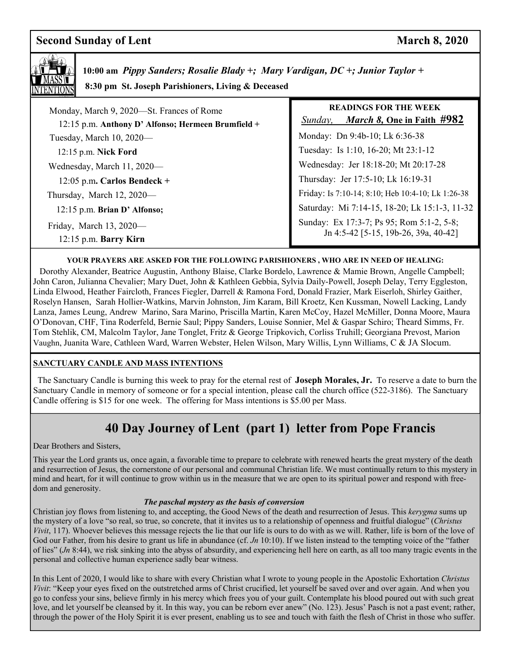### **Second Sunday of Lent** March 8, 2020



 **10:00 am** *Pippy Sanders; Rosalie Blady +; Mary Vardigan, DC +; Junior Taylor +*   **8:30 pm St. Joseph Parishioners, Living & Deceased** 

| Monday, March 9, 2020—St. Frances of Rome<br>12:15 p.m. Anthony D' Alfonso; Hermeen Brumfield + | <b>READINGS FOR THE WEEK</b><br><i>March 8</i> , One in Faith #982<br>Sunday,     |
|-------------------------------------------------------------------------------------------------|-----------------------------------------------------------------------------------|
| Tuesday, March 10, 2020-                                                                        | Monday: Dn 9:4b-10; Lk 6:36-38                                                    |
| 12:15 p.m. Nick Ford                                                                            | Tuesday: Is 1:10, 16-20; Mt 23:1-12                                               |
| Wednesday, March 11, 2020-                                                                      | Wednesday: Jer 18:18-20; Mt 20:17-28                                              |
| 12:05 p.m. Carlos Bendeck +                                                                     | Thursday: Jer 17:5-10; Lk 16:19-31                                                |
| Thursday, March 12, 2020-                                                                       | Friday: Is 7:10-14; 8:10; Heb 10:4-10; Lk 1:26-38                                 |
| 12:15 p.m. Brian D' Alfonso;                                                                    | Saturday: Mi 7:14-15, 18-20; Lk 15:1-3, 11-32                                     |
| Friday, March $13, 2020$ —<br>$12:15$ p.m. Barry Kirn                                           | Sunday: Ex 17:3-7; Ps 95; Rom 5:1-2, 5-8;<br>Jn 4:5-42 [5-15, 19b-26, 39a, 40-42] |

#### **YOUR PRAYERS ARE ASKED FOR THE FOLLOWING PARISHIONERS , WHO ARE IN NEED OF HEALING:**

 Dorothy Alexander, Beatrice Augustin, Anthony Blaise, Clarke Bordelo, Lawrence & Mamie Brown, Angelle Campbell; John Caron, Julianna Chevalier; Mary Duet, John & Kathleen Gebbia, Sylvia Daily-Powell, Joseph Delay, Terry Eggleston, Linda Elwood, Heather Faircloth, Frances Fiegler, Darrell & Ramona Ford, Donald Frazier, Mark Eiserloh, Shirley Gaither, Roselyn Hansen, Sarah Hollier-Watkins, Marvin Johnston, Jim Karam, Bill Kroetz, Ken Kussman, Nowell Lacking, Landy Lanza, James Leung, Andrew Marino, Sara Marino, Priscilla Martin, Karen McCoy, Hazel McMiller, Donna Moore, Maura O'Donovan, CHF, Tina Roderfeld, Bernie Saul; Pippy Sanders, Louise Sonnier, Mel & Gaspar Schiro; Theard Simms, Fr. Tom Stehlik, CM, Malcolm Taylor, Jane Tonglet, Fritz & George Tripkovich, Corliss Truhill; Georgiana Prevost, Marion Vaughn, Juanita Ware, Cathleen Ward, Warren Webster, Helen Wilson, Mary Willis, Lynn Williams, C & JA Slocum.

#### **SANCTUARY CANDLE AND MASS INTENTIONS**

 The Sanctuary Candle is burning this week to pray for the eternal rest of **Joseph Morales, Jr.** To reserve a date to burn the Sanctuary Candle in memory of someone or for a special intention, please call the church office (522-3186). The Sanctuary Candle offering is \$15 for one week. The offering for Mass intentions is \$5.00 per Mass.

## **40 Day Journey of Lent (part 1) letter from Pope Francis**

Dear Brothers and Sisters,

This year the Lord grants us, once again, a favorable time to prepare to celebrate with renewed hearts the great mystery of the death and resurrection of Jesus, the cornerstone of our personal and communal Christian life. We must continually return to this mystery in mind and heart, for it will continue to grow within us in the measure that we are open to its spiritual power and respond with freedom and generosity.

#### *The paschal mystery as the basis of conversion*

Christian joy flows from listening to, and accepting, the Good News of the death and resurrection of Jesus. This *kerygma* sums up the mystery of a love "so real, so true, so concrete, that it invites us to a relationship of openness and fruitful dialogue" (*Christus Vivit*, 117). Whoever believes this message rejects the lie that our life is ours to do with as we will. Rather, life is born of the love of God our Father, from his desire to grant us life in abundance (cf. *Jn* 10:10). If we listen instead to the tempting voice of the "father" of lies" (*Jn* 8:44), we risk sinking into the abyss of absurdity, and experiencing hell here on earth, as all too many tragic events in the personal and collective human experience sadly bear witness.

In this Lent of 2020, I would like to share with every Christian what I wrote to young people in the Apostolic Exhortation *Christus Vivit*: "Keep your eyes fixed on the outstretched arms of Christ crucified, let yourself be saved over and over again. And when you go to confess your sins, believe firmly in his mercy which frees you of your guilt. Contemplate his blood poured out with such great love, and let yourself be cleansed by it. In this way, you can be reborn ever anew" (No. 123). Jesus' Pasch is not a past event; rather, through the power of the Holy Spirit it is ever present, enabling us to see and touch with faith the flesh of Christ in those who suffer.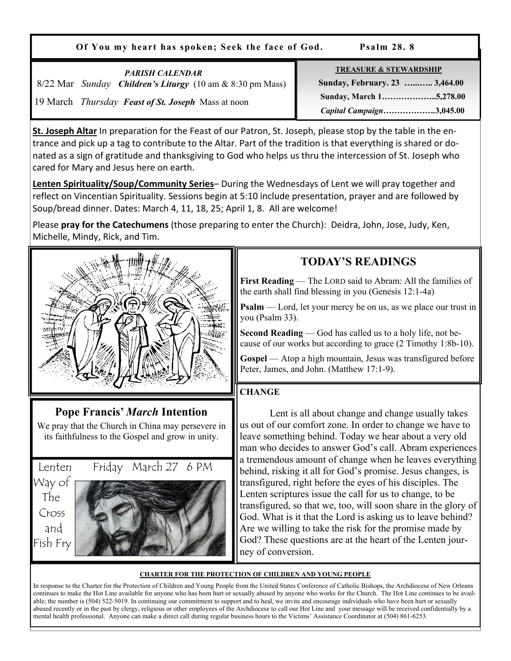**Of You my heart has spoken; Seek the face of God. Psalm 28. 8** 

| <b>PARISH CALENDAR</b><br>8/22 Mar Sunday Children's Liturgy (10 am & 8:30 pm Mass)<br>19 March <i>Thursday Feast of St. Joseph</i> Mass at noon | <b>TREASURE &amp; STEWARDSHIP</b><br>Sunday, February. 23  3,464.00<br>Sunday, March 15,278.00<br>Capital Campaign3,045.00 |
|--------------------------------------------------------------------------------------------------------------------------------------------------|----------------------------------------------------------------------------------------------------------------------------|
|--------------------------------------------------------------------------------------------------------------------------------------------------|----------------------------------------------------------------------------------------------------------------------------|

**St. Joseph Altar** In preparation for the Feast of our Patron, St. Joseph, please stop by the table in the entrance and pick up a tag to contribute to the Altar. Part of the tradition is that everything is shared or donated as a sign of gratitude and thanksgiving to God who helps us thru the intercession of St. Joseph who cared for Mary and Jesus here on earth.

**Lenten Spirituality/Soup/Community Series**– During the Wednesdays of Lent we will pray together and reflect on Vincentian Spirituality. Sessions begin at 5:10 include presentation, prayer and are followed by Soup/bread dinner. Dates: March 4, 11, 18, 25; April 1, 8. All are welcome!

Please **pray for the Catechumens** (those preparing to enter the Church): Deidra, John, Jose, Judy, Ken, Michelle, Mindy, Rick, and Tim.



## **Pope Francis'** *March* **Intention**

We pray that the Church in China may persevere in its faithfulness to the Gospel and grow in unity.





### **TODAY'S READINGS**

**First Reading** — The LORD said to Abram: All the families of the earth shall find blessing in you (Genesis 12:1-4a)

**Psalm** — Lord, let your mercy be on us, as we place our trust in you (Psalm 33).

**Second Reading** — God has called us to a holy life, not because of our works but according to grace (2 Timothy 1:8b-10).

**Gospel** — Atop a high mountain, Jesus was transfigured before Peter, James, and John. (Matthew 17:1-9).

### **CHANGE**

 Lent is all about change and change usually takes us out of our comfort zone. In order to change we have to leave something behind. Today we hear about a very old man who decides to answer God's call. Abram experiences a tremendous amount of change when he leaves everything behind, risking it all for God's promise. Jesus changes, is transfigured, right before the eyes of his disciples. The Lenten scriptures issue the call for us to change, to be transfigured, so that we, too, will soon share in the glory of God. What is it that the Lord is asking us to leave behind? Are we willing to take the risk for the promise made by God? These questions are at the heart of the Lenten journey of conversion.

#### **CHARTER FOR THE PROTECTION OF CHILDREN AND YOUNG PEOPLE**

In response to the Charter for the Protection of Children and Young People from the United States Conference of Catholic Bishops, the Archdiocese of New Orleans continues to make the Hot Line available for anyone who has been hurt or sexually abused by anyone who works for the Church. The Hot Line continues to be available; the number is (504) 522-5019. In continuing our commitment to support and to heal, we invite and encourage individuals who have been hurt or sexually abused recently or in the past by clergy, religious or other employees of the Archdiocese to call our Hot Line and your message will be received confidentially by a mental health professional. Anyone can make a direct call during regular business hours to the Victims' Assistance Coordinator at (504) 861-6253.